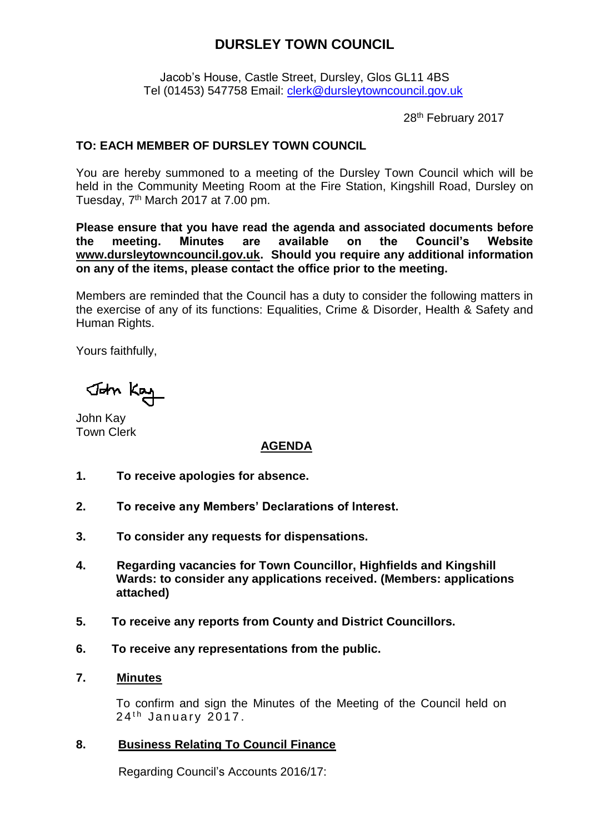# **DURSLEY TOWN COUNCIL**

Jacob's House, Castle Street, Dursley, Glos GL11 4BS Tel (01453) 547758 Email: [clerk@dursleytowncouncil.gov.uk](mailto:clerk@dursleytowncouncil.gov.uk)

28th February 2017

# **TO: EACH MEMBER OF DURSLEY TOWN COUNCIL**

You are hereby summoned to a meeting of the Dursley Town Council which will be held in the Community Meeting Room at the Fire Station, Kingshill Road, Dursley on Tuesday, 7<sup>th</sup> March 2017 at 7.00 pm.

**Please ensure that you have read the agenda and associated documents before the meeting. Minutes are available on the Council's Website [www.dursleytowncouncil.gov.uk.](http://www.dursleytowncouncil.gov.uk/) Should you require any additional information on any of the items, please contact the office prior to the meeting.** 

Members are reminded that the Council has a duty to consider the following matters in the exercise of any of its functions: Equalities, Crime & Disorder, Health & Safety and Human Rights.

Yours faithfully,

John Key

John Kay Town Clerk

## **AGENDA**

- **1. To receive apologies for absence.**
- **2. To receive any Members' Declarations of Interest.**
- **3. To consider any requests for dispensations.**
- **4. Regarding vacancies for Town Councillor, Highfields and Kingshill Wards: to consider any applications received. (Members: applications attached)**
- **5. To receive any reports from County and District Councillors.**
- **6. To receive any representations from the public.**
- **7. Minutes**

To confirm and sign the Minutes of the Meeting of the Council held on  $24<sup>th</sup>$  January 2017.

**8. Business Relating To Council Finance**

Regarding Council's Accounts 2016/17: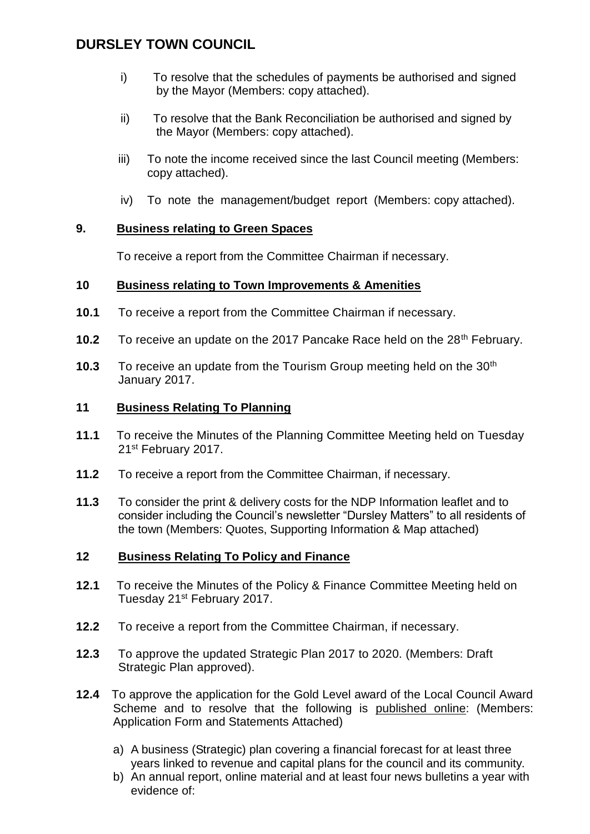# **DURSLEY TOWN COUNCIL**

- i) To resolve that the schedules of payments be authorised and signed by the Mayor (Members: copy attached).
- ii) To resolve that the Bank Reconciliation be authorised and signed by the Mayor (Members: copy attached).
- iii) To note the income received since the last Council meeting (Members: copy attached).
- iv) To note the management/budget report (Members: copy attached).

# **9. Business relating to Green Spaces**

To receive a report from the Committee Chairman if necessary.

# **10 Business relating to Town Improvements & Amenities**

- **10.1** To receive a report from the Committee Chairman if necessary.
- **10.2** To receive an update on the 2017 Pancake Race held on the 28<sup>th</sup> February.
- **10.3** To receive an update from the Tourism Group meeting held on the 30<sup>th</sup> January 2017.

## **11 Business Relating To Planning**

- **11.1** To receive the Minutes of the Planning Committee Meeting held on Tuesday 21st February 2017.
- **11.2** To receive a report from the Committee Chairman, if necessary.
- **11.3** To consider the print & delivery costs for the NDP Information leaflet and to consider including the Council's newsletter "Dursley Matters" to all residents of the town (Members: Quotes, Supporting Information & Map attached)

## **12 Business Relating To Policy and Finance**

- **12.1** To receive the Minutes of the Policy & Finance Committee Meeting held on Tuesday 21<sup>st</sup> February 2017.
- **12.2** To receive a report from the Committee Chairman, if necessary.
- **12.3** To approve the updated Strategic Plan 2017 to 2020. (Members: Draft Strategic Plan approved).
- **12.4** To approve the application for the Gold Level award of the Local Council Award Scheme and to resolve that the following is published online: (Members: Application Form and Statements Attached)
	- a) A business (Strategic) plan covering a financial forecast for at least three years linked to revenue and capital plans for the council and its community.
	- b) An annual report, online material and at least four news bulletins a year with evidence of: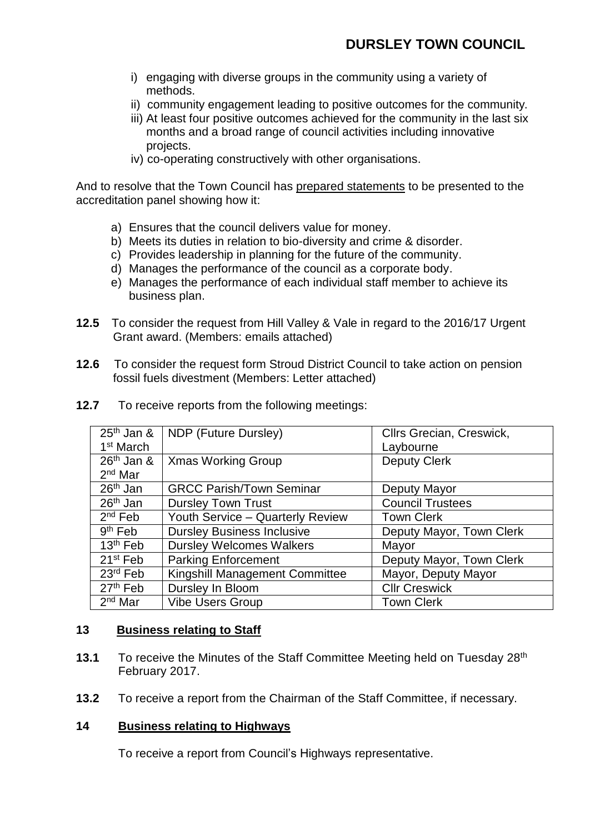- i) engaging with diverse groups in the community using a variety of methods.
- ii) community engagement leading to positive outcomes for the community.
- iii) At least four positive outcomes achieved for the community in the last six months and a broad range of council activities including innovative projects.
- iv) co-operating constructively with other organisations.

And to resolve that the Town Council has prepared statements to be presented to the accreditation panel showing how it:

- a) Ensures that the council delivers value for money.
- b) Meets its duties in relation to bio-diversity and crime & disorder.
- c) Provides leadership in planning for the future of the community.
- d) Manages the performance of the council as a corporate body.
- e) Manages the performance of each individual staff member to achieve its business plan.
- **12.5** To consider the request from Hill Valley & Vale in regard to the 2016/17 Urgent Grant award. (Members: emails attached)
- **12.6** To consider the request form Stroud District Council to take action on pension fossil fuels divestment (Members: Letter attached)

| $25th$ Jan &          | NDP (Future Dursley)              | Cllrs Grecian, Creswick, |  |
|-----------------------|-----------------------------------|--------------------------|--|
| 1 <sup>st</sup> March |                                   | Laybourne                |  |
| $26th$ Jan &          | <b>Xmas Working Group</b>         | <b>Deputy Clerk</b>      |  |
| $2nd$ Mar             |                                   |                          |  |
| $26th$ Jan            | <b>GRCC Parish/Town Seminar</b>   | Deputy Mayor             |  |
| 26 <sup>th</sup> Jan  | <b>Dursley Town Trust</b>         | <b>Council Trustees</b>  |  |
| $2nd$ Feb             | Youth Service - Quarterly Review  | <b>Town Clerk</b>        |  |
| $9th$ Feb             | <b>Dursley Business Inclusive</b> | Deputy Mayor, Town Clerk |  |
| 13 <sup>th</sup> Feb  | <b>Dursley Welcomes Walkers</b>   | Mayor                    |  |
| 21 <sup>st</sup> Feb  | <b>Parking Enforcement</b>        | Deputy Mayor, Town Clerk |  |
| $23rd$ Feb            | Kingshill Management Committee    | Mayor, Deputy Mayor      |  |
| 27 <sup>th</sup> Feb  | Dursley In Bloom                  | <b>Cllr Creswick</b>     |  |
| $2nd$ Mar             | <b>Vibe Users Group</b>           | <b>Town Clerk</b>        |  |

**12.7** To receive reports from the following meetings:

#### **13 Business relating to Staff**

- **13.1** To receive the Minutes of the Staff Committee Meeting held on Tuesday 28<sup>th</sup> February 2017.
- **13.2** To receive a report from the Chairman of the Staff Committee, if necessary.

#### **14 Business relating to Highways**

To receive a report from Council's Highways representative.